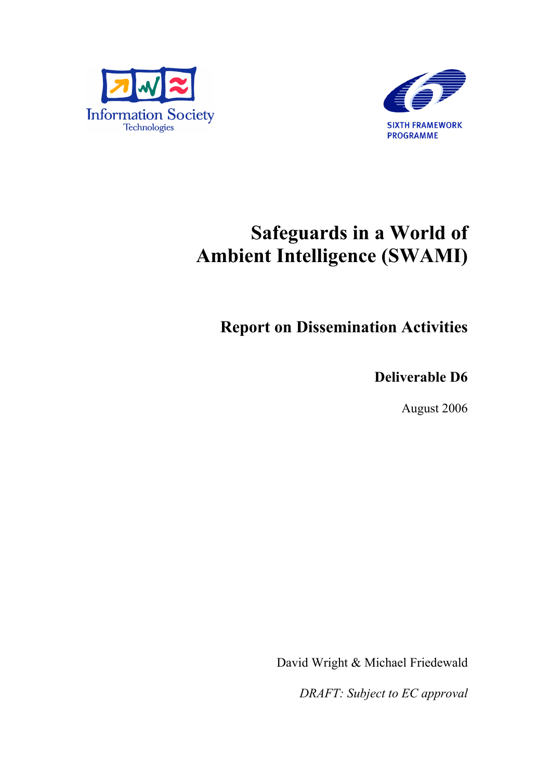



# Safeguards in a World of Ambient Intelligence (SWAMI)

Report on Dissemination Activities

Deliverable D6

August 2006

David Wright & Michael Friedewald

*DRAFT: Subject to EC approval*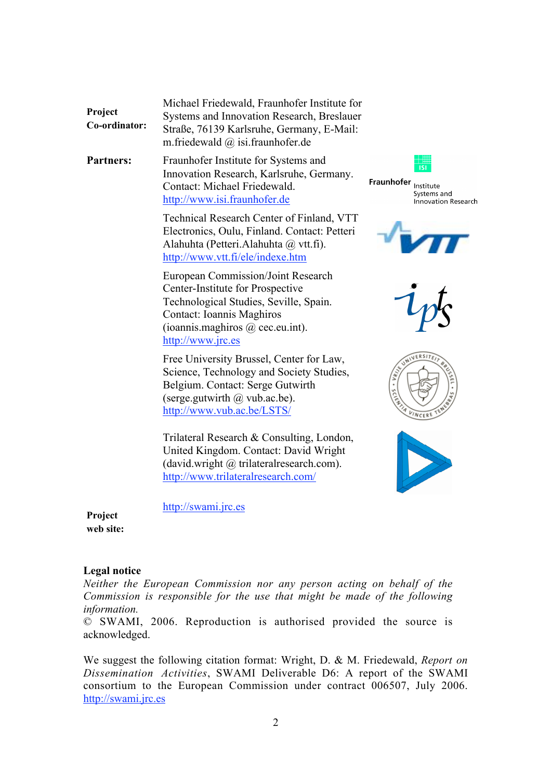|               | Michael Friedewald, Fraunhofer Institute for |
|---------------|----------------------------------------------|
| Project       | Systems and Innovation Research, Breslauer   |
| Co-ordinator: | Straße, 76139 Karlsruhe, Germany, E-Mail:    |
|               | m.friedewald $\omega$ is i.fraunhofer.de     |

Partners: Fraunhofer Institute for Systems and Innovation Research, Karlsruhe, Germany. Contact: Michael Friedewald. http://www.isi.fraunhofer.de

> Technical Research Center of Finland, VTT Electronics, Oulu, Finland. Contact: Petteri Alahuhta (Petteri.Alahuhta @ vtt.fi). http://www.vtt.fi/ele/indexe.htm

European Commission/Joint Research Center-Institute for Prospective Technological Studies, Seville, Spain. Contact: Ioannis Maghiros (ioannis.maghiros @ cec.eu.int). http://www.jrc.es

Free University Brussel, Center for Law, Science, Technology and Society Studies, Belgium. Contact: Serge Gutwirth (serge.gutwirth  $\omega$  vub.ac.be). http://www.vub.ac.be/LSTS/

Trilateral Research & Consulting, London, United Kingdom. Contact: David Wright (david.wright @ trilateralresearch.com). http://www.trilateralresearch.com/

Fraunhofer Institute Systems and Innovation Research









http://swami.jrc.es

Project web site:

#### Legal notice

*Neither the European Commission nor any person acting on behalf of the Commission is responsible for the use that might be made of the following information.*

© SWAMI, 2006. Reproduction is authorised provided the source is acknowledged.

We suggest the following citation format: Wright, D. & M. Friedewald, *Report on Dissemination Activities*, SWAMI Deliverable D6: A report of the SWAMI consortium to the European Commission under contract 006507, July 2006. http://swami.jrc.es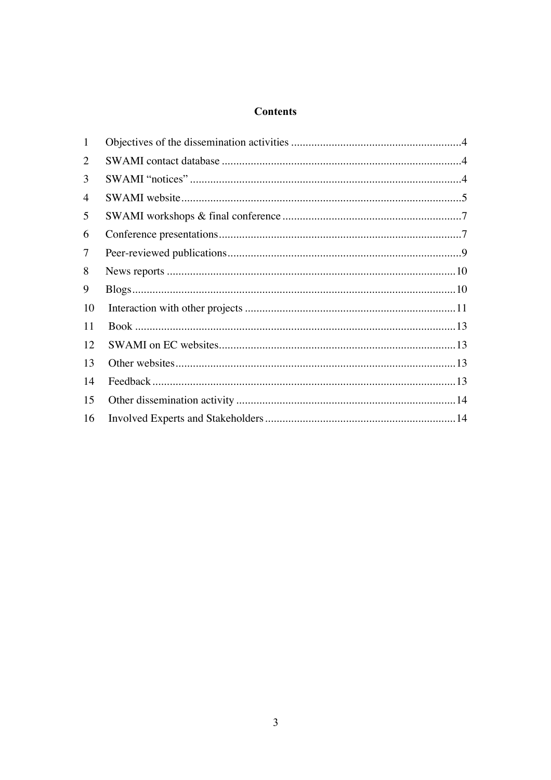# **Contents**

| $\mathbf{1}$ |  |
|--------------|--|
| 2            |  |
| 3            |  |
| 4            |  |
| 5            |  |
| 6            |  |
| 7            |  |
| 8            |  |
| 9            |  |
| 10           |  |
| 11           |  |
| 12           |  |
| 13           |  |
| 14           |  |
| 15           |  |
| 16           |  |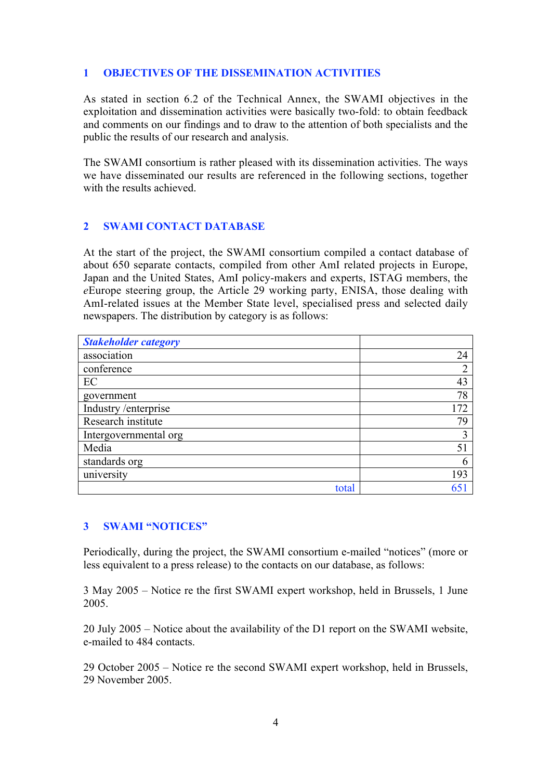# 1 OBJECTIVES OF THE DISSEMINATION ACTIVITIES

As stated in section 6.2 of the Technical Annex, the SWAMI objectives in the exploitation and dissemination activities were basically two-fold: to obtain feedback and comments on our findings and to draw to the attention of both specialists and the public the results of our research and analysis.

The SWAMI consortium is rather pleased with its dissemination activities. The ways we have disseminated our results are referenced in the following sections, together with the results achieved.

# 2 SWAMI CONTACT DATABASE

At the start of the project, the SWAMI consortium compiled a contact database of about 650 separate contacts, compiled from other AmI related projects in Europe, Japan and the United States, AmI policy-makers and experts, ISTAG members, the *e*Europe steering group, the Article 29 working party, ENISA, those dealing with AmI-related issues at the Member State level, specialised press and selected daily newspapers. The distribution by category is as follows:

| <b>Stakeholder category</b> |     |
|-----------------------------|-----|
| association                 | 24  |
| conference                  | ∍   |
| EC                          | 43  |
| government                  | 78  |
| Industry /enterprise        | 172 |
| Research institute          | 79  |
| Intergovernmental org       |     |
| Media                       | 51  |
| standards org               | 6   |
| university                  | 193 |
| total                       | 65  |

### 3 SWAMI "NOTICES"

Periodically, during the project, the SWAMI consortium e-mailed "notices" (more or less equivalent to a press release) to the contacts on our database, as follows:

3 May 2005 – Notice re the first SWAMI expert workshop, held in Brussels, 1 June 2005.

20 July 2005 – Notice about the availability of the D1 report on the SWAMI website, e-mailed to 484 contacts.

29 October 2005 – Notice re the second SWAMI expert workshop, held in Brussels, 29 November 2005.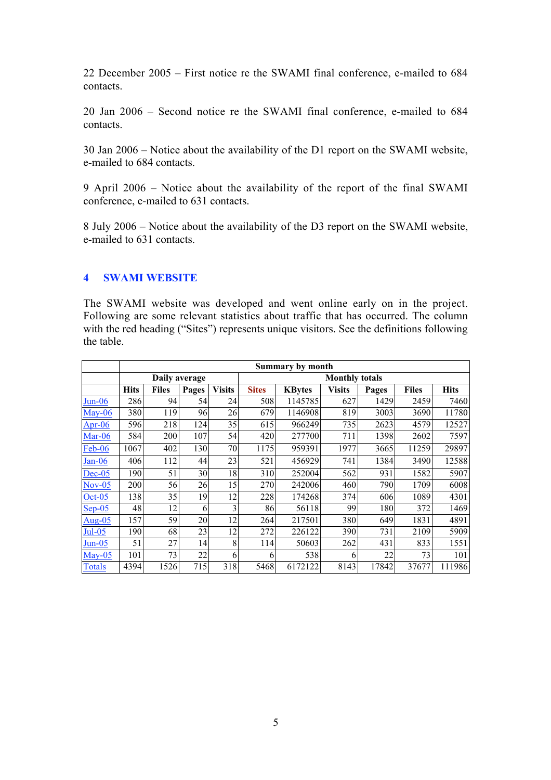22 December 2005 – First notice re the SWAMI final conference, e-mailed to 684 contacts.

20 Jan 2006 – Second notice re the SWAMI final conference, e-mailed to 684 contacts.

30 Jan 2006 – Notice about the availability of the D1 report on the SWAMI website, e-mailed to 684 contacts.

9 April 2006 – Notice about the availability of the report of the final SWAMI conference, e-mailed to 631 contacts.

8 July 2006 – Notice about the availability of the D3 report on the SWAMI website, e-mailed to 631 contacts.

#### 4 SWAMI WEBSITE

The SWAMI website was developed and went online early on in the project. Following are some relevant statistics about traffic that has occurred. The column with the red heading ("Sites") represents unique visitors. See the definitions following the table.

|                          | <b>Summary by month</b> |              |       |               |                       |               |               |       |              |             |
|--------------------------|-------------------------|--------------|-------|---------------|-----------------------|---------------|---------------|-------|--------------|-------------|
|                          | Daily average           |              |       |               | <b>Monthly totals</b> |               |               |       |              |             |
|                          | <b>Hits</b>             | <b>Files</b> | Pages | <b>Visits</b> | <b>Sites</b>          | <b>KBytes</b> | <b>Visits</b> | Pages | <b>Files</b> | <b>Hits</b> |
| $Jun-06$                 | 286                     | 94           | 54    | 24            | 508                   | 1145785       | 627           | 1429  | 2459         | 7460        |
| $\frac{\text{May-06}}{}$ | 380                     | 119          | 96    | 26            | 679                   | 1146908       | 819           | 3003  | 3690         | 11780       |
| Apr- $06$                | 596                     | 218          | 124   | 35            | 615                   | 966249        | 735           | 2623  | 4579         | 12527       |
| <b>Mar-06</b>            | 584                     | 200          | 107   | 54            | 420                   | 277700        | 711           | 1398  | 2602         | 7597        |
| Feb-06                   | 1067                    | 402          | 130   | 70            | 1175                  | 959391        | 1977          | 3665  | 11259        | 29897       |
| $Jan-06$                 | 406                     | 112          | 44    | 23            | 521                   | 456929        | 741           | 1384  | 3490         | 12588       |
| $Dec-05$                 | 190                     | 51           | 30    | 18            | 310                   | 252004        | 562           | 931   | 1582         | 5907        |
| $Nov-05$                 | 200                     | 56           | 26    | 15            | 270                   | 242006        | 460           | 790   | 1709         | 6008        |
| $Oct-05$                 | 138                     | 35           | 19    | 12            | 228                   | 174268        | 374           | 606   | 1089         | 4301        |
| $Sep-05$                 | 48                      | 12           | 6     | 3             | 86                    | 56118         | 99            | 180   | 372          | 1469        |
| Aug- $05$                | 157                     | 59           | 20    | 12            | 264                   | 217501        | 380           | 649   | 1831         | 4891        |
| <b>Jul-05</b>            | 190                     | 68           | 23    | 12            | 272                   | 226122        | 390           | 731   | 2109         | 5909        |
| <u>Jun-05</u>            | 51                      | 27           | 14    | 8             | 114                   | 50603         | 262           | 431   | 833          | 1551        |
| $Mav-05$                 | 101                     | 73           | 22    | 6             | 6                     | 538           | 6             | 22    | 73           | 101         |
| <b>Totals</b>            | 4394                    | 1526         | 715   | 318           | 5468                  | 6172122       | 8143          | 17842 | 37677        | 111986      |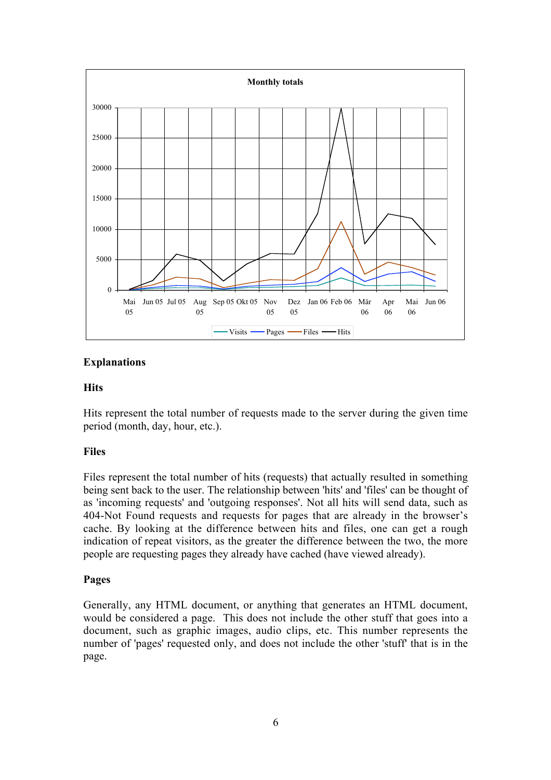

#### Explanations

#### **Hits**

Hits represent the total number of requests made to the server during the given time period (month, day, hour, etc.).

### Files

Files represent the total number of hits (requests) that actually resulted in something being sent back to the user. The relationship between 'hits' and 'files' can be thought of as 'incoming requests' and 'outgoing responses'. Not all hits will send data, such as 404-Not Found requests and requests for pages that are already in the browser's cache. By looking at the difference between hits and files, one can get a rough indication of repeat visitors, as the greater the difference between the two, the more people are requesting pages they already have cached (have viewed already).

#### Pages

Generally, any HTML document, or anything that generates an HTML document, would be considered a page. This does not include the other stuff that goes into a document, such as graphic images, audio clips, etc. This number represents the number of 'pages' requested only, and does not include the other 'stuff' that is in the page.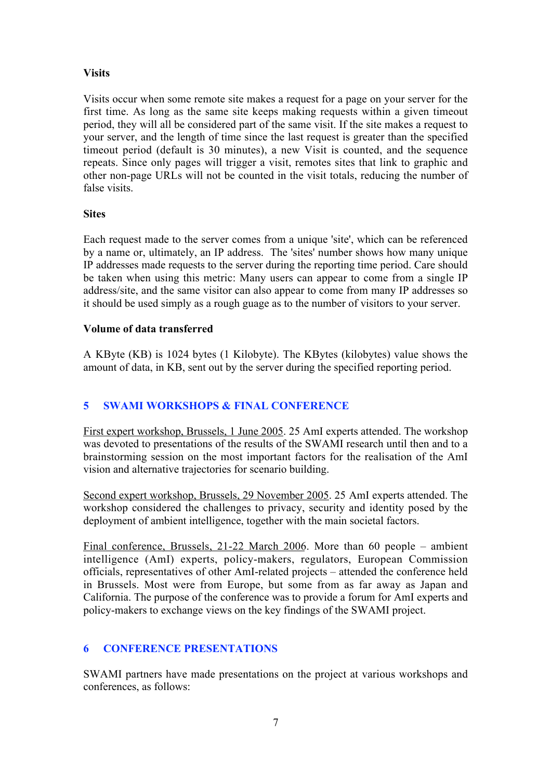# **Visits**

Visits occur when some remote site makes a request for a page on your server for the first time. As long as the same site keeps making requests within a given timeout period, they will all be considered part of the same visit. If the site makes a request to your server, and the length of time since the last request is greater than the specified timeout period (default is 30 minutes), a new Visit is counted, and the sequence repeats. Since only pages will trigger a visit, remotes sites that link to graphic and other non-page URLs will not be counted in the visit totals, reducing the number of false visits.

#### **Sites**

Each request made to the server comes from a unique 'site', which can be referenced by a name or, ultimately, an IP address. The 'sites' number shows how many unique IP addresses made requests to the server during the reporting time period. Care should be taken when using this metric: Many users can appear to come from a single IP address/site, and the same visitor can also appear to come from many IP addresses so it should be used simply as a rough guage as to the number of visitors to your server.

#### Volume of data transferred

A KByte (KB) is 1024 bytes (1 Kilobyte). The KBytes (kilobytes) value shows the amount of data, in KB, sent out by the server during the specified reporting period.

# 5 SWAMI WORKSHOPS & FINAL CONFERENCE

First expert workshop, Brussels, 1 June 2005. 25 AmI experts attended. The workshop was devoted to presentations of the results of the SWAMI research until then and to a brainstorming session on the most important factors for the realisation of the AmI vision and alternative trajectories for scenario building.

Second expert workshop, Brussels, 29 November 2005. 25 AmI experts attended. The workshop considered the challenges to privacy, security and identity posed by the deployment of ambient intelligence, together with the main societal factors.

Final conference, Brussels, 21-22 March 2006. More than 60 people – ambient intelligence (AmI) experts, policy-makers, regulators, European Commission officials, representatives of other AmI-related projects – attended the conference held in Brussels. Most were from Europe, but some from as far away as Japan and California. The purpose of the conference was to provide a forum for AmI experts and policy-makers to exchange views on the key findings of the SWAMI project.

# 6 CONFERENCE PRESENTATIONS

SWAMI partners have made presentations on the project at various workshops and conferences, as follows: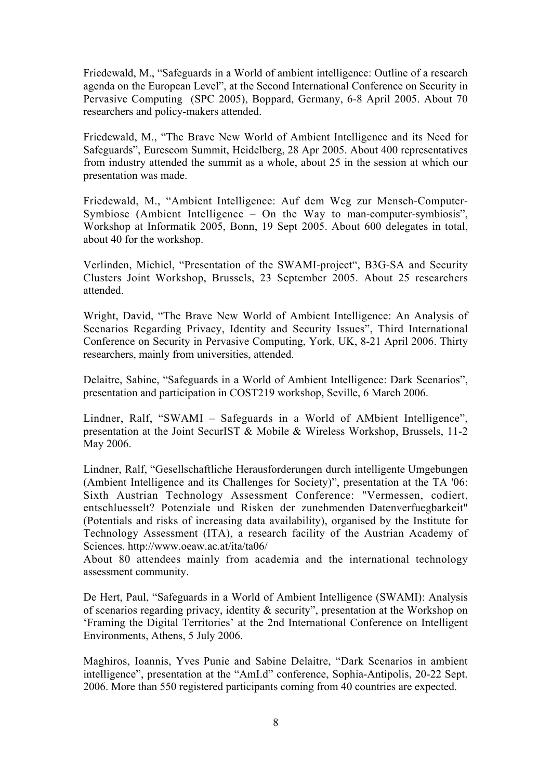Friedewald, M., "Safeguards in a World of ambient intelligence: Outline of a research agenda on the European Level", at the Second International Conference on Security in Pervasive Computing (SPC 2005), Boppard, Germany, 6-8 April 2005. About 70 researchers and policy-makers attended.

Friedewald, M., "The Brave New World of Ambient Intelligence and its Need for Safeguards", Eurescom Summit, Heidelberg, 28 Apr 2005. About 400 representatives from industry attended the summit as a whole, about 25 in the session at which our presentation was made.

Friedewald, M., "Ambient Intelligence: Auf dem Weg zur Mensch-Computer-Symbiose (Ambient Intelligence – On the Way to man-computer-symbiosis", Workshop at Informatik 2005, Bonn, 19 Sept 2005. About 600 delegates in total, about 40 for the workshop.

Verlinden, Michiel, "Presentation of the SWAMI-project", B3G-SA and Security Clusters Joint Workshop, Brussels, 23 September 2005. About 25 researchers attended.

Wright, David, "The Brave New World of Ambient Intelligence: An Analysis of Scenarios Regarding Privacy, Identity and Security Issues", Third International Conference on Security in Pervasive Computing, York, UK, 8-21 April 2006. Thirty researchers, mainly from universities, attended.

Delaitre, Sabine, "Safeguards in a World of Ambient Intelligence: Dark Scenarios", presentation and participation in COST219 workshop, Seville, 6 March 2006.

Lindner, Ralf, "SWAMI – Safeguards in a World of AMbient Intelligence", presentation at the Joint SecurIST & Mobile & Wireless Workshop, Brussels, 11-2 May 2006.

Lindner, Ralf, "Gesellschaftliche Herausforderungen durch intelligente Umgebungen (Ambient Intelligence and its Challenges for Society)", presentation at the TA '06: Sixth Austrian Technology Assessment Conference: "Vermessen, codiert, entschluesselt? Potenziale und Risken der zunehmenden Datenverfuegbarkeit" (Potentials and risks of increasing data availability), organised by the Institute for Technology Assessment (ITA), a research facility of the Austrian Academy of Sciences. http://www.oeaw.ac.at/ita/ta06/

About 80 attendees mainly from academia and the international technology assessment community.

De Hert, Paul, "Safeguards in a World of Ambient Intelligence (SWAMI): Analysis of scenarios regarding privacy, identity & security", presentation at the Workshop on 'Framing the Digital Territories' at the 2nd International Conference on Intelligent Environments, Athens, 5 July 2006.

Maghiros, Ioannis, Yves Punie and Sabine Delaitre, "Dark Scenarios in ambient intelligence", presentation at the "AmI.d" conference, Sophia-Antipolis, 20-22 Sept. 2006. More than 550 registered participants coming from 40 countries are expected.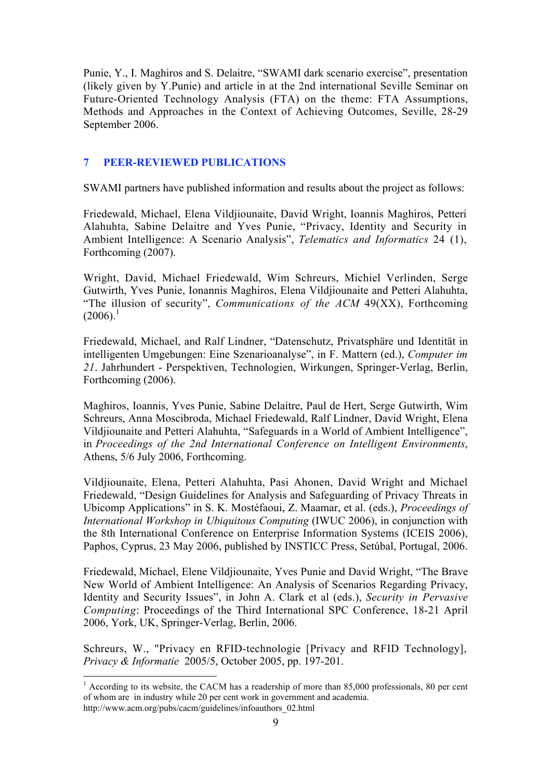Punie, Y., I. Maghiros and S. Delaitre, "SWAMI dark scenario exercise", presentation (likely given by Y.Punie) and article in at the 2nd international Seville Seminar on Future-Oriented Technology Analysis (FTA) on the theme: FTA Assumptions, Methods and Approaches in the Context of Achieving Outcomes, Seville, 28-29 September 2006.

# 7 PEER-REVIEWED PUBLICATIONS

SWAMI partners have published information and results about the project as follows:

Friedewald, Michael, Elena Vildjiounaite, David Wright, Ioannis Maghiros, Petteri Alahuhta, Sabine Delaitre and Yves Punie, "Privacy, Identity and Security in Ambient Intelligence: A Scenario Analysis", *Telematics and Informatics* 24 (1), Forthcoming (2007).

Wright, David, Michael Friedewald, Wim Schreurs, Michiel Verlinden, Serge Gutwirth, Yves Punie, Ionannis Maghiros, Elena Vildjiounaite and Petteri Alahuhta, "The illusion of security", *Communications of the ACM* 49(XX), Forthcoming  $(2006)^{1}$ 

Friedewald, Michael, and Ralf Lindner, "Datenschutz, Privatsphäre und Identität in intelligenten Umgebungen: Eine Szenarioanalyse", in F. Mattern (ed.), *Computer im 21*. Jahrhundert - Perspektiven, Technologien, Wirkungen, Springer-Verlag, Berlin, Forthcoming (2006).

Maghiros, Ioannis, Yves Punie, Sabine Delaitre, Paul de Hert, Serge Gutwirth, Wim Schreurs, Anna Moscibroda, Michael Friedewald, Ralf Lindner, David Wright, Elena Vildjiounaite and Petteri Alahuhta, "Safeguards in a World of Ambient Intelligence", in *Proceedings of the 2nd International Conference on Intelligent Environments*, Athens, 5/6 July 2006, Forthcoming.

Vildjiounaite, Elena, Petteri Alahuhta, Pasi Ahonen, David Wright and Michael Friedewald, "Design Guidelines for Analysis and Safeguarding of Privacy Threats in Ubicomp Applications" in S. K. Mostéfaoui, Z. Maamar, et al. (eds.), *Proceedings of International Workshop in Ubiquitous Computing* (IWUC 2006), in conjunction with the 8th International Conference on Enterprise Information Systems (ICEIS 2006), Paphos, Cyprus, 23 May 2006, published by INSTICC Press, Setúbal, Portugal, 2006.

Friedewald, Michael, Elene Vildjiounaite, Yves Punie and David Wright, "The Brave New World of Ambient Intelligence: An Analysis of Scenarios Regarding Privacy, Identity and Security Issues", in John A. Clark et al (eds.), *Security in Pervasive Computing*: Proceedings of the Third International SPC Conference, 18-21 April 2006, York, UK, Springer-Verlag, Berlin, 2006.

Schreurs, W., "Privacy en RFID-technologie [Privacy and RFID Technology], *Privacy & Informatie* 2005/5, October 2005, pp. 197-201.

<sup>&</sup>lt;sup>1</sup> According to its website, the CACM has a readership of more than 85,000 professionals, 80 per cent of whom are in industry while 20 per cent work in government and academia. http://www.acm.org/pubs/cacm/guidelines/infoauthors\_02.html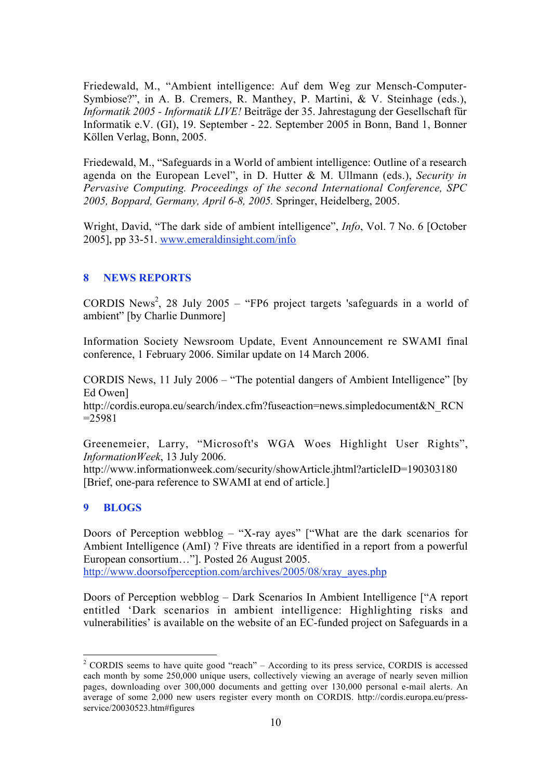Friedewald, M., "Ambient intelligence: Auf dem Weg zur Mensch-Computer-Symbiose?", in A. B. Cremers, R. Manthey, P. Martini, & V. Steinhage (eds.), *Informatik 2005 - Informatik LIVE!* Beiträge der 35. Jahrestagung der Gesellschaft für Informatik e.V. (GI), 19. September - 22. September 2005 in Bonn, Band 1, Bonner Köllen Verlag, Bonn, 2005.

Friedewald, M., "Safeguards in a World of ambient intelligence: Outline of a research agenda on the European Level", in D. Hutter & M. Ullmann (eds.), *Security in Pervasive Computing. Proceedings of the second International Conference, SPC 2005, Boppard, Germany, April 6-8, 2005.* Springer, Heidelberg, 2005.

Wright, David, "The dark side of ambient intelligence", *Info*, Vol. 7 No. 6 [October 2005], pp 33-51. www.emeraldinsight.com/info

### 8 NEWS REPORTS

CORDIS News<sup>2</sup>, 28 July 2005 – "FP6 project targets 'safeguards in a world of ambient" [by Charlie Dunmore]

Information Society Newsroom Update, Event Announcement re SWAMI final conference, 1 February 2006. Similar update on 14 March 2006.

CORDIS News, 11 July 2006 – "The potential dangers of Ambient Intelligence" [by Ed Owen]

http://cordis.europa.eu/search/index.cfm?fuseaction=news.simpledocument&N\_RCN  $=25981$ 

Greenemeier, Larry, "Microsoft's WGA Woes Highlight User Rights", *InformationWeek*, 13 July 2006.

http://www.informationweek.com/security/showArticle.jhtml?articleID=190303180 [Brief, one-para reference to SWAMI at end of article.]

#### 9 BLOGS

Doors of Perception webblog – "X-ray ayes" ["What are the dark scenarios for Ambient Intelligence (AmI) ? Five threats are identified in a report from a powerful European consortium…"]. Posted 26 August 2005. http://www.doorsofperception.com/archives/2005/08/xray\_ayes.php

Doors of Perception webblog – Dark Scenarios In Ambient Intelligence ["A report entitled 'Dark scenarios in ambient intelligence: Highlighting risks and vulnerabilities' is available on the website of an EC-funded project on Safeguards in a

 $2$  CORDIS seems to have quite good "reach" – According to its press service, CORDIS is accessed each month by some 250,000 unique users, collectively viewing an average of nearly seven million pages, downloading over 300,000 documents and getting over 130,000 personal e-mail alerts. An average of some 2,000 new users register every month on CORDIS. http://cordis.europa.eu/pressservice/20030523.htm#figures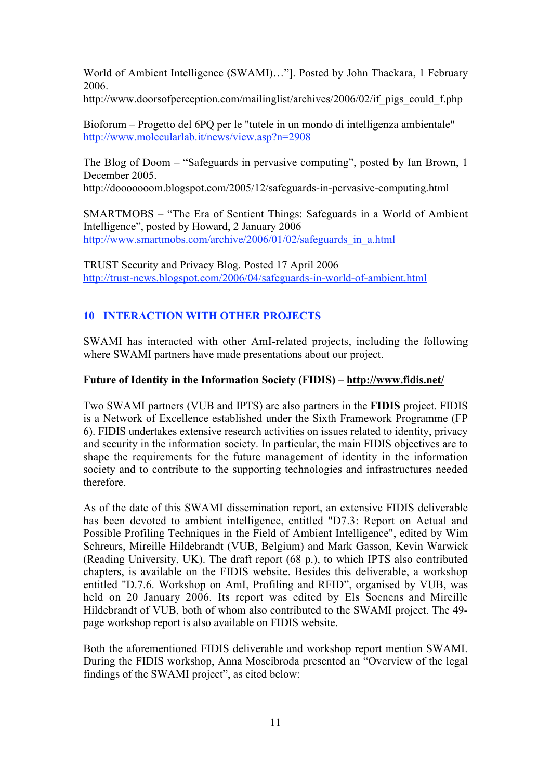World of Ambient Intelligence (SWAMI)…"]. Posted by John Thackara, 1 February 2006.

http://www.doorsofperception.com/mailinglist/archives/2006/02/if pigs could f.php

Bioforum – Progetto del 6PQ per le "tutele in un mondo di intelligenza ambientale" http://www.molecularlab.it/news/view.asp?n=2908

The Blog of Doom – "Safeguards in pervasive computing", posted by Ian Brown, 1 December 2005.

http://dooooooom.blogspot.com/2005/12/safeguards-in-pervasive-computing.html

SMARTMOBS – "The Era of Sentient Things: Safeguards in a World of Ambient Intelligence", posted by Howard, 2 January 2006 http://www.smartmobs.com/archive/2006/01/02/safeguards\_in\_a.html

TRUST Security and Privacy Blog. Posted 17 April 2006 http://trust-news.blogspot.com/2006/04/safeguards-in-world-of-ambient.html

# 10 INTERACTION WITH OTHER PROJECTS

SWAMI has interacted with other AmI-related projects, including the following where SWAMI partners have made presentations about our project.

### Future of Identity in the Information Society (FIDIS) – http://www.fidis.net/

Two SWAMI partners (VUB and IPTS) are also partners in the FIDIS project. FIDIS is a Network of Excellence established under the Sixth Framework Programme (FP 6). FIDIS undertakes extensive research activities on issues related to identity, privacy and security in the information society. In particular, the main FIDIS objectives are to shape the requirements for the future management of identity in the information society and to contribute to the supporting technologies and infrastructures needed therefore.

As of the date of this SWAMI dissemination report, an extensive FIDIS deliverable has been devoted to ambient intelligence, entitled "D7.3: Report on Actual and Possible Profiling Techniques in the Field of Ambient Intelligence", edited by Wim Schreurs, Mireille Hildebrandt (VUB, Belgium) and Mark Gasson, Kevin Warwick (Reading University, UK). The draft report (68 p.), to which IPTS also contributed chapters, is available on the FIDIS website. Besides this deliverable, a workshop entitled "D.7.6. Workshop on AmI, Profiling and RFID", organised by VUB, was held on 20 January 2006. Its report was edited by Els Soenens and Mireille Hildebrandt of VUB, both of whom also contributed to the SWAMI project. The 49 page workshop report is also available on FIDIS website.

Both the aforementioned FIDIS deliverable and workshop report mention SWAMI. During the FIDIS workshop, Anna Moscibroda presented an "Overview of the legal findings of the SWAMI project", as cited below: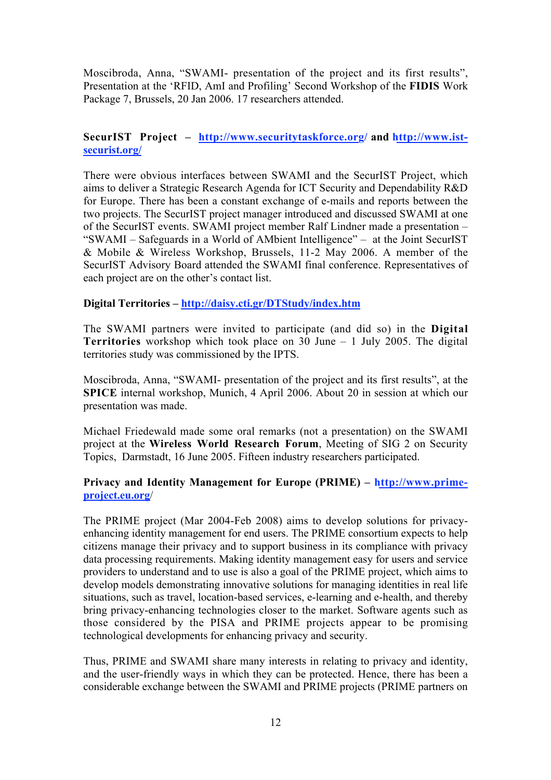Moscibroda, Anna, "SWAMI- presentation of the project and its first results", Presentation at the 'RFID, AmI and Profiling' Second Workshop of the FIDIS Work Package 7, Brussels, 20 Jan 2006. 17 researchers attended.

#### SecurIST Project – http://www.securitytaskforce.org/ and http://www.istsecurist.org/

There were obvious interfaces between SWAMI and the SecurIST Project, which aims to deliver a Strategic Research Agenda for ICT Security and Dependability R&D for Europe. There has been a constant exchange of e-mails and reports between the two projects. The SecurIST project manager introduced and discussed SWAMI at one of the SecurIST events. SWAMI project member Ralf Lindner made a presentation – "SWAMI – Safeguards in a World of AMbient Intelligence" – at the Joint SecurIST & Mobile & Wireless Workshop, Brussels, 11-2 May 2006. A member of the SecurIST Advisory Board attended the SWAMI final conference. Representatives of each project are on the other's contact list.

#### Digital Territories – http://daisy.cti.gr/DTStudy/index.htm

The SWAMI partners were invited to participate (and did so) in the Digital Territories workshop which took place on 30 June – 1 July 2005. The digital territories study was commissioned by the IPTS.

Moscibroda, Anna, "SWAMI- presentation of the project and its first results", at the SPICE internal workshop, Munich, 4 April 2006. About 20 in session at which our presentation was made.

Michael Friedewald made some oral remarks (not a presentation) on the SWAMI project at the Wireless World Research Forum, Meeting of SIG 2 on Security Topics, Darmstadt, 16 June 2005. Fifteen industry researchers participated.

#### Privacy and Identity Management for Europe (PRIME) – http://www.primeproject.eu.org/

The PRIME project (Mar 2004-Feb 2008) aims to develop solutions for privacyenhancing identity management for end users. The PRIME consortium expects to help citizens manage their privacy and to support business in its compliance with privacy data processing requirements. Making identity management easy for users and service providers to understand and to use is also a goal of the PRIME project, which aims to develop models demonstrating innovative solutions for managing identities in real life situations, such as travel, location-based services, e-learning and e-health, and thereby bring privacy-enhancing technologies closer to the market. Software agents such as those considered by the PISA and PRIME projects appear to be promising technological developments for enhancing privacy and security.

Thus, PRIME and SWAMI share many interests in relating to privacy and identity, and the user-friendly ways in which they can be protected. Hence, there has been a considerable exchange between the SWAMI and PRIME projects (PRIME partners on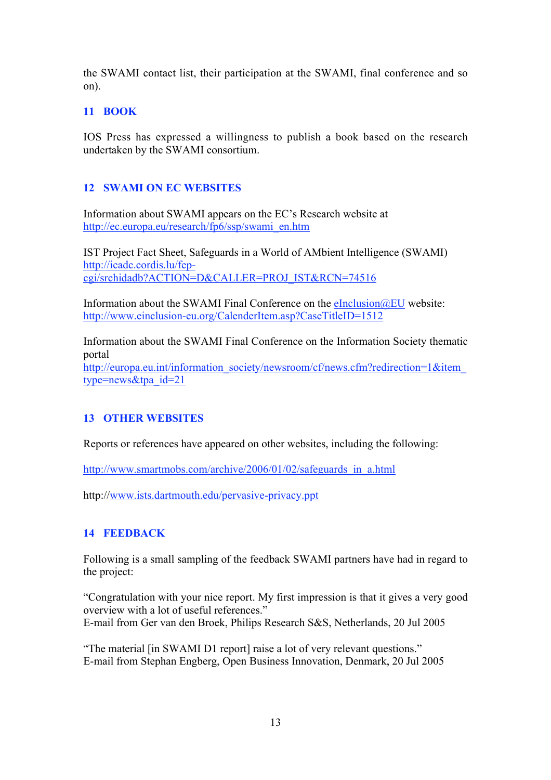the SWAMI contact list, their participation at the SWAMI, final conference and so on).

# 11 BOOK

IOS Press has expressed a willingness to publish a book based on the research undertaken by the SWAMI consortium.

# 12 SWAMI ON EC WEBSITES

Information about SWAMI appears on the EC's Research website at http://ec.europa.eu/research/fp6/ssp/swami\_en.htm

IST Project Fact Sheet, Safeguards in a World of AMbient Intelligence (SWAMI) http://icadc.cordis.lu/fepcgi/srchidadb?ACTION=D&CALLER=PROJ\_IST&RCN=74516

Information about the SWAMI Final Conference on the  $eInclusion@EU$  website: http://www.einclusion-eu.org/CalenderItem.asp?CaseTitleID=1512

Information about the SWAMI Final Conference on the Information Society thematic portal http://europa.eu.int/information\_society/newsroom/cf/news.cfm?redirection=1&item

type=news&tpa\_id=21

### 13 OTHER WEBSITES

Reports or references have appeared on other websites, including the following:

http://www.smartmobs.com/archive/2006/01/02/safeguards\_in\_a.html

http://www.ists.dartmouth.edu/pervasive-privacy.ppt

# 14 FEEDBACK

Following is a small sampling of the feedback SWAMI partners have had in regard to the project:

"Congratulation with your nice report. My first impression is that it gives a very good overview with a lot of useful references." E-mail from Ger van den Broek, Philips Research S&S, Netherlands, 20 Jul 2005

"The material [in SWAMI D1 report] raise a lot of very relevant questions." E-mail from Stephan Engberg, Open Business Innovation, Denmark, 20 Jul 2005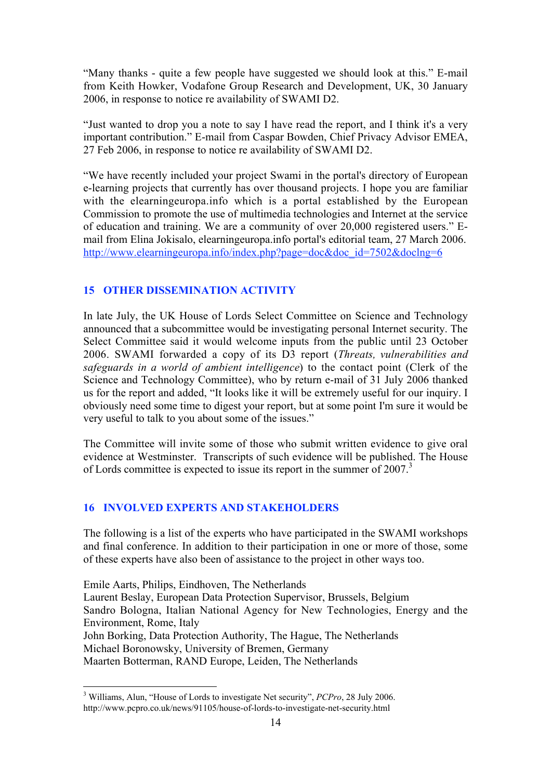"Many thanks - quite a few people have suggested we should look at this." E-mail from Keith Howker, Vodafone Group Research and Development, UK, 30 January 2006, in response to notice re availability of SWAMI D2.

"Just wanted to drop you a note to say I have read the report, and I think it's a very important contribution." E-mail from Caspar Bowden, Chief Privacy Advisor EMEA, 27 Feb 2006, in response to notice re availability of SWAMI D2.

"We have recently included your project Swami in the portal's directory of European e-learning projects that currently has over thousand projects. I hope you are familiar with the elearningeuropa.info which is a portal established by the European Commission to promote the use of multimedia technologies and Internet at the service of education and training. We are a community of over 20,000 registered users." Email from Elina Jokisalo, elearningeuropa.info portal's editorial team, 27 March 2006. http://www.elearningeuropa.info/index.php?page=doc&doc\_id=7502&doclng=6

### 15 OTHER DISSEMINATION ACTIVITY

In late July, the UK House of Lords Select Committee on Science and Technology announced that a subcommittee would be investigating personal Internet security. The Select Committee said it would welcome inputs from the public until 23 October 2006. SWAMI forwarded a copy of its D3 report (*Threats, vulnerabilities and safeguards in a world of ambient intelligence*) to the contact point (Clerk of the Science and Technology Committee), who by return e-mail of 31 July 2006 thanked us for the report and added, "It looks like it will be extremely useful for our inquiry. I obviously need some time to digest your report, but at some point I'm sure it would be very useful to talk to you about some of the issues."

The Committee will invite some of those who submit written evidence to give oral evidence at Westminster. Transcripts of such evidence will be published. The House of Lords committee is expected to issue its report in the summer of 2007.<sup>3</sup>

#### 16 INVOLVED EXPERTS AND STAKEHOLDERS

The following is a list of the experts who have participated in the SWAMI workshops and final conference. In addition to their participation in one or more of those, some of these experts have also been of assistance to the project in other ways too.

Emile Aarts, Philips, Eindhoven, The Netherlands Laurent Beslay, European Data Protection Supervisor, Brussels, Belgium Sandro Bologna, Italian National Agency for New Technologies, Energy and the Environment, Rome, Italy John Borking, Data Protection Authority, The Hague, The Netherlands Michael Boronowsky, University of Bremen, Germany Maarten Botterman, RAND Europe, Leiden, The Netherlands

 <sup>3</sup> Williams, Alun, "House of Lords to investigate Net security", *PCPro*, 28 July 2006. http://www.pcpro.co.uk/news/91105/house-of-lords-to-investigate-net-security.html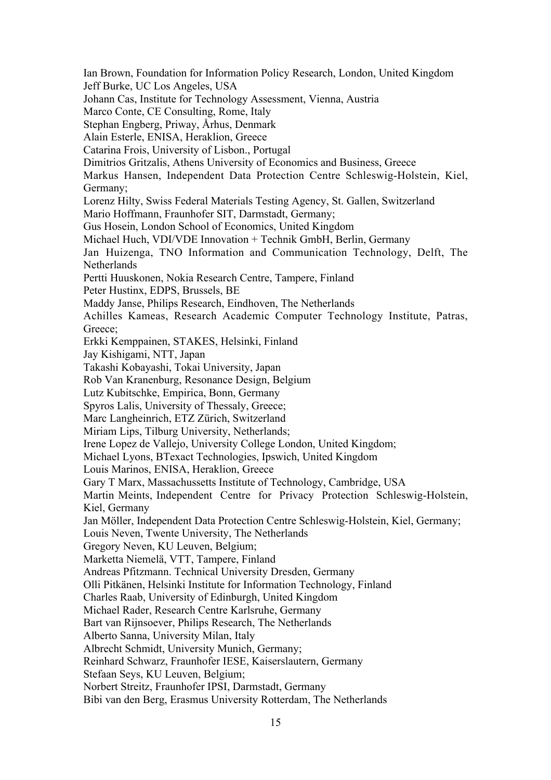Ian Brown, Foundation for Information Policy Research, London, United Kingdom Jeff Burke, UC Los Angeles, USA Johann Cas, Institute for Technology Assessment, Vienna, Austria Marco Conte, CE Consulting, Rome, Italy Stephan Engberg, Priway, Århus, Denmark Alain Esterle, ENISA, Heraklion, Greece Catarina Frois, University of Lisbon., Portugal Dimitrios Gritzalis, Athens University of Economics and Business, Greece Markus Hansen, Independent Data Protection Centre Schleswig-Holstein, Kiel, Germany; Lorenz Hilty, Swiss Federal Materials Testing Agency, St. Gallen, Switzerland Mario Hoffmann, Fraunhofer SIT, Darmstadt, Germany; Gus Hosein, London School of Economics, United Kingdom Michael Huch, VDI/VDE Innovation + Technik GmbH, Berlin, Germany Jan Huizenga, TNO Information and Communication Technology, Delft, The Netherlands Pertti Huuskonen, Nokia Research Centre, Tampere, Finland Peter Hustinx, EDPS, Brussels, BE Maddy Janse, Philips Research, Eindhoven, The Netherlands Achilles Kameas, Research Academic Computer Technology Institute, Patras, Greece; Erkki Kemppainen, STAKES, Helsinki, Finland Jay Kishigami, NTT, Japan Takashi Kobayashi, Tokai University, Japan Rob Van Kranenburg, Resonance Design, Belgium Lutz Kubitschke, Empirica, Bonn, Germany Spyros Lalis, University of Thessaly, Greece; Marc Langheinrich, ETZ Zürich, Switzerland Miriam Lips, Tilburg University, Netherlands; Irene Lopez de Vallejo, University College London, United Kingdom; Michael Lyons, BTexact Technologies, Ipswich, United Kingdom Louis Marinos, ENISA, Heraklion, Greece Gary T Marx, Massachussetts Institute of Technology, Cambridge, USA Martin Meints, Independent Centre for Privacy Protection Schleswig-Holstein, Kiel, Germany Jan Möller, Independent Data Protection Centre Schleswig-Holstein, Kiel, Germany; Louis Neven, Twente University, The Netherlands Gregory Neven, KU Leuven, Belgium; Marketta Niemelä, VTT, Tampere, Finland Andreas Pfitzmann. Technical University Dresden, Germany Olli Pitkänen, Helsinki Institute for Information Technology, Finland Charles Raab, University of Edinburgh, United Kingdom Michael Rader, Research Centre Karlsruhe, Germany Bart van Rijnsoever, Philips Research, The Netherlands Alberto Sanna, University Milan, Italy Albrecht Schmidt, University Munich, Germany; Reinhard Schwarz, Fraunhofer IESE, Kaiserslautern, Germany Stefaan Seys, KU Leuven, Belgium; Norbert Streitz, Fraunhofer IPSI, Darmstadt, Germany Bibi van den Berg, Erasmus University Rotterdam, The Netherlands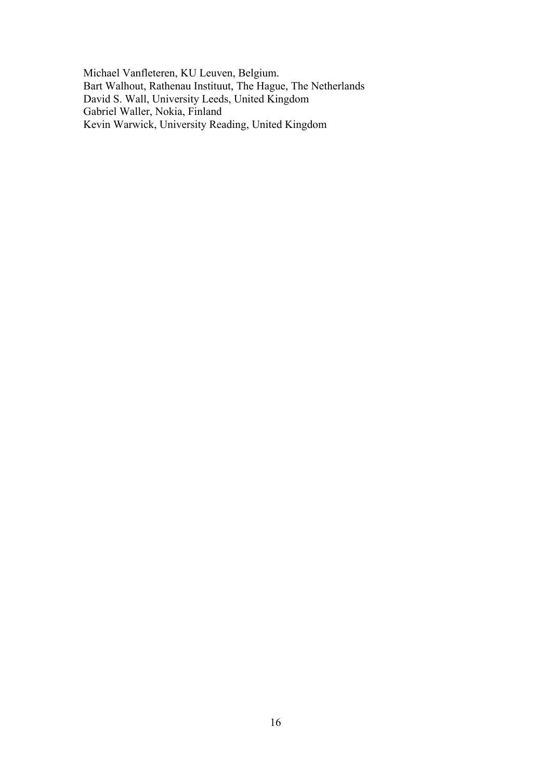Michael Vanfleteren, KU Leuven, Belgium. Bart Walhout, Rathenau Instituut, The Hague, The Netherlands David S. Wall, University Leeds, United Kingdom Gabriel Waller, Nokia, Finland Kevin Warwick, University Reading, United Kingdom